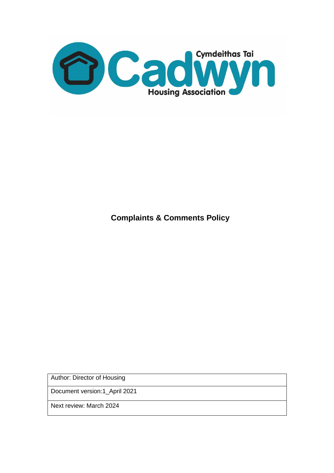

**Complaints & Comments Policy**

Author: Director of Housing

Document version:1\_April 2021

Next review: March 2024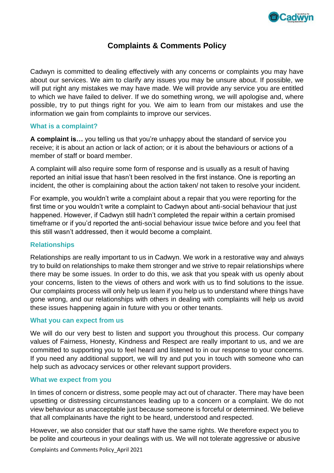

# **Complaints & Comments Policy**

Cadwyn is committed to dealing effectively with any concerns or complaints you may have about our services. We aim to clarify any issues you may be unsure about. If possible, we will put right any mistakes we may have made. We will provide any service you are entitled to which we have failed to deliver. If we do something wrong, we will apologise and, where possible, try to put things right for you. We aim to learn from our mistakes and use the information we gain from complaints to improve our services.

#### **What is a complaint?**

**A complaint is…** you telling us that you're unhappy about the standard of service you receive; it is about an action or lack of action; or it is about the behaviours or actions of a member of staff or board member.

A complaint will also require some form of response and is usually as a result of having reported an initial issue that hasn't been resolved in the first instance. One is reporting an incident, the other is complaining about the action taken/ not taken to resolve your incident.

For example, you wouldn't write a complaint about a repair that you were reporting for the first time or you wouldn't write a complaint to Cadwyn about anti-social behaviour that just happened. However, if Cadwyn still hadn't completed the repair within a certain promised timeframe or if you'd reported the anti-social behaviour issue twice before and you feel that this still wasn't addressed, then it would become a complaint.

### **Relationships**

Relationships are really important to us in Cadwyn. We work in a restorative way and always try to build on relationships to make them stronger and we strive to repair relationships where there may be some issues. In order to do this, we ask that you speak with us openly about your concerns, listen to the views of others and work with us to find solutions to the issue. Our complaints process will only help us learn if you help us to understand where things have gone wrong, and our relationships with others in dealing with complaints will help us avoid these issues happening again in future with you or other tenants.

#### **What you can expect from us**

We will do our very best to listen and support you throughout this process. Our company values of Fairness, Honesty, Kindness and Respect are really important to us, and we are committed to supporting you to feel heard and listened to in our response to your concerns. If you need any additional support, we will try and put you in touch with someone who can help such as advocacy services or other relevant support providers.

#### **What we expect from you**

In times of concern or distress, some people may act out of character. There may have been upsetting or distressing circumstances leading up to a concern or a complaint. We do not view behaviour as unacceptable just because someone is forceful or determined. We believe that all complainants have the right to be heard, understood and respected.

However, we also consider that our staff have the same rights. We therefore expect you to be polite and courteous in your dealings with us. We will not tolerate aggressive or abusive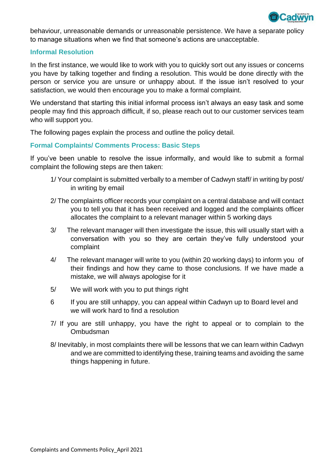

behaviour, unreasonable demands or unreasonable persistence. We have a separate policy to manage situations when we find that someone's actions are unacceptable.

#### **Informal Resolution**

In the first instance, we would like to work with you to quickly sort out any issues or concerns you have by talking together and finding a resolution. This would be done directly with the person or service you are unsure or unhappy about. If the issue isn't resolved to your satisfaction, we would then encourage you to make a formal complaint.

We understand that starting this initial informal process isn't always an easy task and some people may find this approach difficult, if so, please reach out to our customer services team who will support you.

The following pages explain the process and outline the policy detail.

### **Formal Complaints/ Comments Process: Basic Steps**

If you've been unable to resolve the issue informally, and would like to submit a formal complaint the following steps are then taken:

- 1/ Your complaint is submitted verbally to a member of Cadwyn staff/ in writing by post/ in writing by email
- 2/ The complaints officer records your complaint on a central database and will contact you to tell you that it has been received and logged and the complaints officer allocates the complaint to a relevant manager within 5 working days
- 3/ The relevant manager will then investigate the issue, this will usually start with a conversation with you so they are certain they've fully understood your complaint
- 4/ The relevant manager will write to you (within 20 working days) to inform you of their findings and how they came to those conclusions. If we have made a mistake, we will always apologise for it
- 5/ We will work with you to put things right
- 6 If you are still unhappy, you can appeal within Cadwyn up to Board level and we will work hard to find a resolution
- 7/ If you are still unhappy, you have the right to appeal or to complain to the Ombudsman
- 8/ Inevitably, in most complaints there will be lessons that we can learn within Cadwyn and we are committed to identifying these, training teams and avoiding the same things happening in future.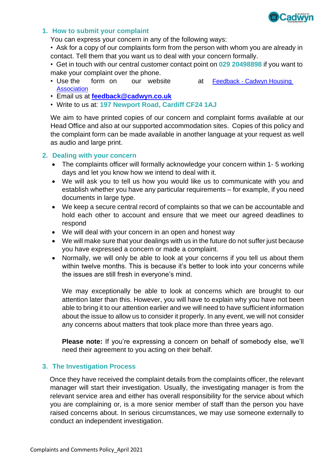

### **1. How to submit your complaint**

You can express your concern in any of the following ways:

• Ask for a copy of our complaints form from the person with whom you are already in contact. Tell them that you want us to deal with your concern formally.

• Get in touch with our central customer contact point on **029 20498898** if you want to make your complaint over the phone.

- Use the form on our website at Feedback Cadwyn Housing **[Association](https://www.cadwyn.co.uk/our-tenants/feedback/)**
- Email us at **[feedback@cadwyn.co.uk](mailto:feedback@cadwyn.co.uk)**
- Write to us at: **197 Newport Road, Cardiff CF24 1AJ**

We aim to have printed copies of our concern and complaint forms available at our Head Office and also at our supported accommodation sites. Copies of this policy and the complaint form can be made available in another language at your request as well as audio and large print.

### **2. Dealing with your concern**

- The complaints officer will formally acknowledge your concern within 1- 5 working days and let you know how we intend to deal with it.
- We will ask you to tell us how you would like us to communicate with you and establish whether you have any particular requirements – for example, if you need documents in large type.
- We keep a secure central record of complaints so that we can be accountable and hold each other to account and ensure that we meet our agreed deadlines to respond
- We will deal with your concern in an open and honest way
- We will make sure that your dealings with us in the future do not suffer just because you have expressed a concern or made a complaint.
- Normally, we will only be able to look at your concerns if you tell us about them within twelve months. This is because it's better to look into your concerns while the issues are still fresh in everyone's mind.

We may exceptionally be able to look at concerns which are brought to our attention later than this. However, you will have to explain why you have not been able to bring it to our attention earlier and we will need to have sufficient information about the issue to allow us to consider it properly. In any event, we will not consider any concerns about matters that took place more than three years ago.

**Please note:** If you're expressing a concern on behalf of somebody else, we'll need their agreement to you acting on their behalf.

### **3. The Investigation Process**

Once they have received the complaint details from the complaints officer, the relevant manager will start their investigation. Usually, the investigating manager is from the relevant service area and either has overall responsibility for the service about which you are complaining or, is a more senior member of staff than the person you have raised concerns about. In serious circumstances, we may use someone externally to conduct an independent investigation.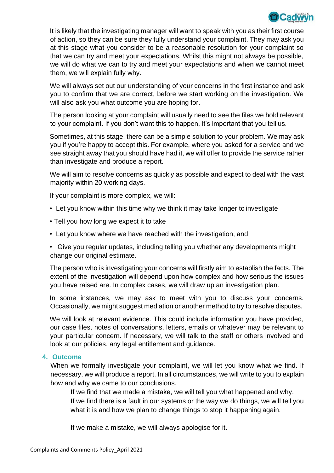

It is likely that the investigating manager will want to speak with you as their first course of action, so they can be sure they fully understand your complaint. They may ask you at this stage what you consider to be a reasonable resolution for your complaint so that we can try and meet your expectations. Whilst this might not always be possible, we will do what we can to try and meet your expectations and when we cannot meet them, we will explain fully why.

We will always set out our understanding of your concerns in the first instance and ask you to confirm that we are correct, before we start working on the investigation. We will also ask you what outcome you are hoping for.

The person looking at your complaint will usually need to see the files we hold relevant to your complaint. If you don't want this to happen, it's important that you tell us.

Sometimes, at this stage, there can be a simple solution to your problem. We may ask you if you're happy to accept this. For example, where you asked for a service and we see straight away that you should have had it, we will offer to provide the service rather than investigate and produce a report.

We will aim to resolve concerns as quickly as possible and expect to deal with the vast majority within 20 working days.

If your complaint is more complex, we will:

- Let you know within this time why we think it may take longer to investigate
- Tell you how long we expect it to take
- Let you know where we have reached with the investigation, and
- Give you regular updates, including telling you whether any developments might change our original estimate.

The person who is investigating your concerns will firstly aim to establish the facts. The extent of the investigation will depend upon how complex and how serious the issues you have raised are. In complex cases, we will draw up an investigation plan.

In some instances, we may ask to meet with you to discuss your concerns. Occasionally, we might suggest mediation or another method to try to resolve disputes.

We will look at relevant evidence. This could include information you have provided, our case files, notes of conversations, letters, emails or whatever may be relevant to your particular concern. If necessary, we will talk to the staff or others involved and look at our policies, any legal entitlement and guidance.

### **4. Outcome**

When we formally investigate your complaint, we will let you know what we find. If necessary, we will produce a report. In all circumstances, we will write to you to explain how and why we came to our conclusions.

If we find that we made a mistake, we will tell you what happened and why. If we find there is a fault in our systems or the way we do things, we will tell you what it is and how we plan to change things to stop it happening again.

If we make a mistake, we will always apologise for it.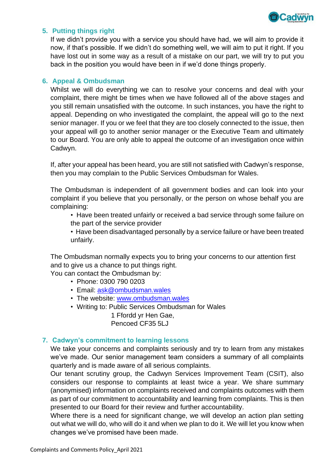

### **5. Putting things right**

If we didn't provide you with a service you should have had, we will aim to provide it now, if that's possible. If we didn't do something well, we will aim to put it right. If you have lost out in some way as a result of a mistake on our part, we will try to put you back in the position you would have been in if we'd done things properly.

#### **6. Appeal & Ombudsman**

Whilst we will do everything we can to resolve your concerns and deal with your complaint, there might be times when we have followed all of the above stages and you still remain unsatisfied with the outcome. In such instances, you have the right to appeal. Depending on who investigated the complaint, the appeal will go to the next senior manager. If you or we feel that they are too closely connected to the issue, then your appeal will go to another senior manager or the Executive Team and ultimately to our Board. You are only able to appeal the outcome of an investigation once within Cadwyn.

If, after your appeal has been heard, you are still not satisfied with Cadwyn's response, then you may complain to the Public Services Ombudsman for Wales.

The Ombudsman is independent of all government bodies and can look into your complaint if you believe that you personally, or the person on whose behalf you are complaining:

• Have been treated unfairly or received a bad service through some failure on the part of the service provider

• Have been disadvantaged personally by a service failure or have been treated unfairly.

The Ombudsman normally expects you to bring your concerns to our attention first and to give us a chance to put things right.

You can contact the Ombudsman by:

- Phone: 0300 790 0203
- Email: [ask@ombudsman.wales](mailto:ask@ombudsman.wales)
- The website: [www.ombudsman.wales](http://www.ombudsman.wales/)
- Writing to: Public Services Ombudsman for Wales 1 Ffordd yr Hen Gae,

Pencoed CF35 5LJ

#### **7. Cadwyn's commitment to learning lessons**

We take your concerns and complaints seriously and try to learn from any mistakes we've made. Our senior management team considers a summary of all complaints quarterly and is made aware of all serious complaints.

Our tenant scrutiny group, the Cadwyn Services Improvement Team (CSIT), also considers our response to complaints at least twice a year. We share summary (anonymised) information on complaints received and complaints outcomes with them as part of our commitment to accountability and learning from complaints. This is then presented to our Board for their review and further accountability.

Where there is a need for significant change, we will develop an action plan setting out what we will do, who will do it and when we plan to do it. We will let you know when changes we've promised have been made.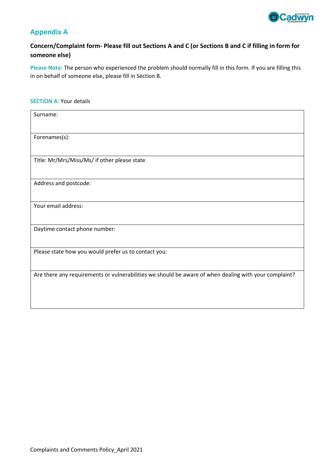

# **Appendix A**

# **Concern/Complaint form- Please fill out Sections A and C (or Sections B and C if filling in form for someone else)**

**Please Note:** The person who experienced the problem should normally fill in this form. If you are filling this in on behalf of someone else, please fill in Section B.

#### **SECTION A: Your details**

| Surname:                                                                                              |
|-------------------------------------------------------------------------------------------------------|
| Forenames(s):                                                                                         |
| Title: Mr/Mrs/Miss/Ms/ if other please state                                                          |
| Address and postcode:                                                                                 |
| Your email address:                                                                                   |
| Daytime contact phone number:                                                                         |
| Please state how you would prefer us to contact you:                                                  |
| Are there any requirements or vulnerabilities we should be aware of when dealing with your complaint? |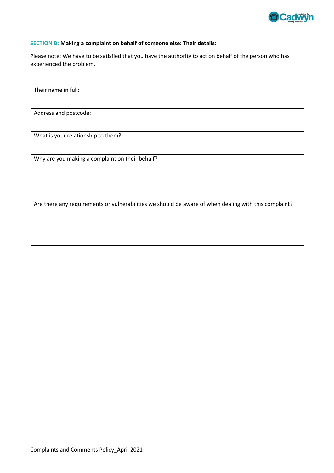

#### **SECTION B: Making a complaint on behalf of someone else: Their details:**

Please note: We have to be satisfied that you have the authority to act on behalf of the person who has experienced the problem.

Their name in full: Address and postcode: What is your relationship to them? Why are you making a complaint on their behalf? Are there any requirements or vulnerabilities we should be aware of when dealing with this complaint?